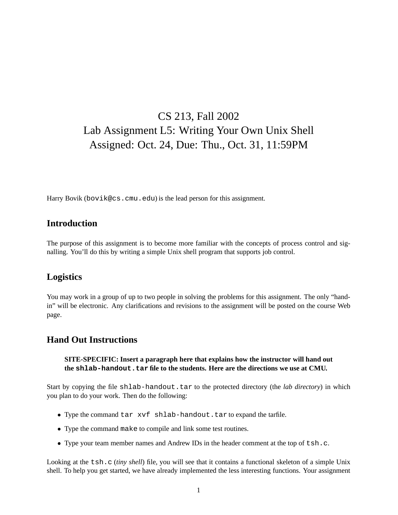# CS 213, Fall 2002 Lab Assignment L5: Writing Your Own Unix Shell Assigned: Oct. 24, Due: Thu., Oct. 31, 11:59PM

Harry Bovik (bovik@cs.cmu.edu) is the lead person for this assignment.

## **Introduction**

The purpose of this assignment is to become more familiar with the concepts of process control and signalling. You'll do this by writing a simple Unix shell program that supports job control.

## **Logistics**

You may work in a group of up to two people in solving the problems for this assignment. The only "handin" will be electronic. Any clarifications and revisions to the assignment will be posted on the course Web page.

### **Hand Out Instructions**

#### **SITE-SPECIFIC: Insert a paragraph here that explains how the instructor will hand out the** shlab-handout.tar file to the students. Here are the directions we use at CMU.

Start by copying the file shlab-handout.tar to the protected directory (the *lab directory*) in which you plan to do your work. Then do the following:

- Type the command tar xvf shlab-handout.tar to expand the tarfile.
- Type the command make to compile and link some test routines.
- Type your team member names and Andrew IDs in the header comment at the top of tsh.c.

Looking at the tsh.c (*tiny shell*) file, you will see that it contains a functional skeleton of a simple Unix shell. To help you get started, we have already implemented the less interesting functions. Your assignment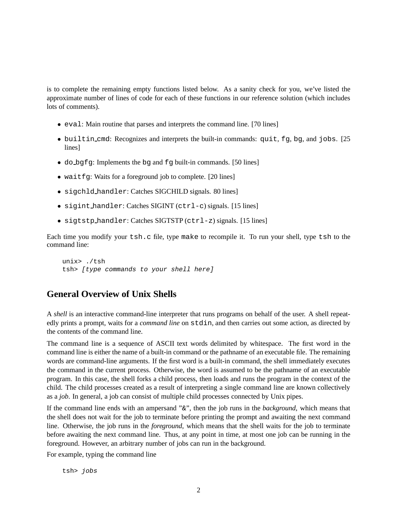is to complete the remaining empty functions listed below. As a sanity check for you, we've listed the approximate number of lines of code for each of these functions in our reference solution (which includes lots of comments).

- eval: Main routine that parses and interprets the command line. [70 lines]
- builtin cmd: Recognizes and interprets the built-in commands: quit, fg, bg, and jobs. [25 lines]
- do  $\beta$ q fq: Implements the bq and  $\beta$  built-in commands. [50 lines]
- waitfg: Waits for a foreground job to complete. [20 lines]
- sigchld handler: Catches SIGCHILD signals. 80 lines]
- sigint handler: Catches SIGINT (ctrl-c) signals. [15 lines]
- sigtstp handler: Catches SIGTSTP (ctrl-z) signals. [15 lines]

Each time you modify your tsh.c file, type make to recompile it. To run your shell, type tsh to the command line:

```
unix> ./tsh
tsh> (type commands to your shell here)
```
## **General Overview of Unix Shells**

A *shell* is an interactive command-line interpreter that runs programs on behalf of the user. A shell repeatedly prints a prompt, waits for a *command line* on stdin, and then carries out some action, as directed by the contents of the command line.

The command line is a sequence of ASCII text words delimited by whitespace. The first word in the command line is either the name of a built-in command or the pathname of an executable file. The remaining words are command-line arguments. If the first word is a built-in command, the shell immediately executes the command in the current process. Otherwise, the word is assumed to be the pathname of an executable program. In this case, the shell forks a child process, then loads and runs the program in the context of the child. The child processes created as a result of interpreting a single command line are known collectively as a *job*. In general, a job can consist of multiple child processes connected by Unix pipes.

If the command line ends with an ampersand "&", then the job runs in the *background*, which means that the shell does not wait for the job to terminate before printing the prompt and awaiting the next command line. Otherwise, the job runs in the *foreground*, which means that the shell waits for the job to terminate before awaiting the next command line. Thus, at any point in time, at most one job can be running in the foreground. However, an arbitrary number of jobs can run in the background.

For example, typing the command line

tsh> jobs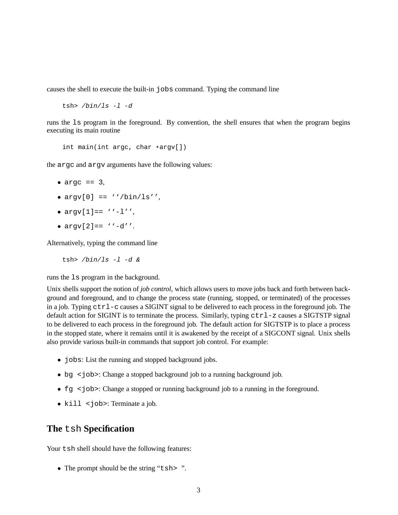causes the shell to execute the built-in jobs command. Typing the command line

tsh>  $/bin/ls -1 -d$ 

runs the ls program in the foreground. By convention, the shell ensures that when the program begins executing its main routine

int main(int argc, char \*argv[])

the argc and argv arguments have the following values:

- $\bullet$  argc == 3,
- $argv[0] == \sqrt{bin/ls''}$ ,
- $argv[1] == ' ' l'',$
- $\text{arqu}[2] == ' ' d''.$

Alternatively, typing the command line

tsh>  $/bin/ls -l -d$  &

runs the ls program in the background.

Unix shells support the notion of *job control*, which allows users to move jobs back and forth between background and foreground, and to change the process state (running, stopped, or terminated) of the processes in a job. Typing ctrl-c causes a SIGINT signal to be delivered to each process in the foreground job. The default action for SIGINT is to terminate the process. Similarly, typing  $\text{ctr1-z}$  causes a SIGTSTP signal to be delivered to each process in the foreground job. The default action for SIGTSTP is to place a process in the stopped state, where it remains until it is awakened by the receipt of a SIGCONT signal. Unix shells also provide various built-in commands that support job control. For example:

- jobs: List the running and stopped background jobs.
- bg <job>: Change a stopped background job to a running background job.
- fg <job>: Change a stopped or running background job to a running in the foreground.
- kill <job>: Terminate a job.

#### **The** tsh **Specification**

Your tsh shell should have the following features:

• The prompt should be the string "tsh>".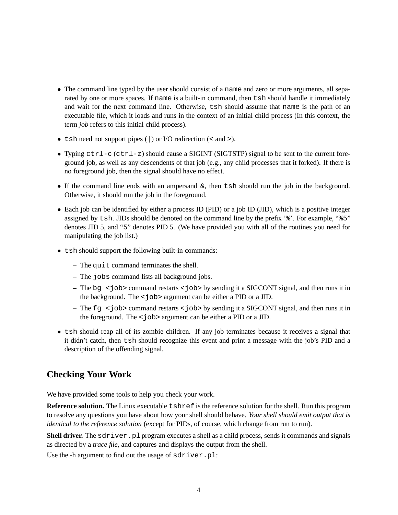- The command line typed by the user should consist of a name and zero or more arguments, all separated by one or more spaces. If name is a built-in command, then tsh should handle it immediately and wait for the next command line. Otherwise, tsh should assume that name is the path of an executable file, which it loads and runs in the context of an initial child process (In this context, the term *job* refers to this initial child process).
- tsh need not support pipes () or I/O redirection (< and >).
- Typing ctrl-c (ctrl-z) should cause a SIGINT (SIGTSTP) signal to be sent to the current foreground job, as well as any descendents of that job (e.g., any child processes that it forked). If there is no foreground job, then the signal should have no effect.
- If the command line ends with an ampersand &, then tsh should run the job in the background. Otherwise, it should run the job in the foreground.
- Each job can be identified by either a process ID (PID) or a job ID (JID), which is a positive integer assigned by tsh. JIDs should be denoted on the command line by the prefix '%'. For example, "%5" denotes JID 5, and "5" denotes PID 5. (We have provided you with all of the routines you need for manipulating the job list.)
- tsh should support the following built-in commands:
	- **–** The quit command terminates the shell.
	- **–** The jobs command lists all background jobs.
	- **–** The bg <job> command restarts <job> by sending it a SIGCONT signal, and then runs it in the background. The <job> argument can be either a PID or a JID.
	- **–** The fg <job> command restarts <job> by sending it a SIGCONT signal, and then runs it in the foreground. The <job> argument can be either a PID or a JID.
- tsh should reap all of its zombie children. If any job terminates because it receives a signal that it didn't catch, then tsh should recognize this event and print a message with the job's PID and a description of the offending signal.

## **Checking Your Work**

We have provided some tools to help you check your work.

**Reference solution.** The Linux executable  $\text{t}$ shref is the reference solution for the shell. Run this program to resolve any questions you have about how your shell should behave. *Your shell should emit output that is identical to the reference solution* (except for PIDs, of course, which change from run to run).

**Shell driver.** The sdriver. pl program executes a shell as a child process, sends it commands and signals as directed by a *trace file*, and captures and displays the output from the shell.

Use the -h argument to find out the usage of sdriver.pl: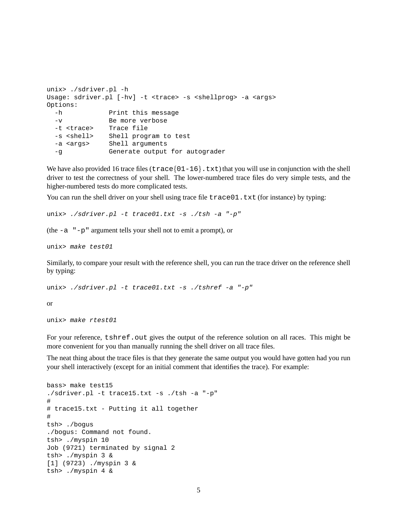```
unix> ./sdriver.pl -h
Usage: sdriver.pl [-hv] -t <trace> -s <shellprog> -a <args>
Options:
 -h Print this message
 -v Be more verbose
 -t <trace> Trace file
 -s <shell> Shell program to test
 -a <args> Shell arguments
 -g Generate output for autograder
```
We have also provided 16 trace files ( $\text{trace} \{01-16\}$ . txt) that you will use in conjunction with the shell driver to test the correctness of your shell. The lower-numbered trace files do very simple tests, and the higher-numbered tests do more complicated tests.

You can run the shell driver on your shell using trace file  $trace01$ . txt (for instance) by typing:

```
unix> ./sdriver.pl -t trace01.txt -s ./tsh -a "-p"
```
(the -a "-p" argument tells your shell not to emit a prompt), or

unix> make test01

Similarly, to compare your result with the reference shell, you can run the trace driver on the reference shell by typing:

```
unix> ./sdriver.pl -t trace01.txt -s ./tshref -a "-p"
```
or

```
unix> make rtest01
```
For your reference, tshref. out gives the output of the reference solution on all races. This might be more convenient for you than manually running the shell driver on all trace files.

The neat thing about the trace files is that they generate the same output you would have gotten had you run your shell interactively (except for an initial comment that identifies the trace). For example:

```
bass> make test15
./sdriver.pl -t trace15.txt -s ./tsh -a "-p"
#
# trace15.txt - Putting it all together
#
tsh> ./bogus
./bogus: Command not found.
tsh> ./myspin 10
Job (9721) terminated by signal 2
tsh> ./myspin 3 &
[1] (9723) ./myspin 3 &
tsh> ./myspin 4 &
```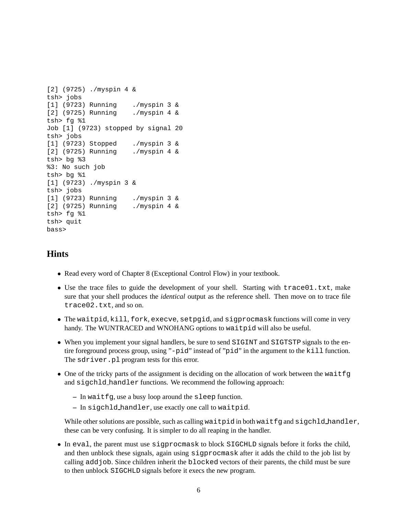```
[2] (9725) ./myspin 4 &
tsh> jobs
[1] (9723) Running ./myspin 3 &
[2] (9725) Running ./myspin 4 &
tsh> fg %1
Job [1] (9723) stopped by signal 20
tsh> jobs
[1] (9723) Stopped ./myspin 3 &
[2] (9725) Running ./myspin 4 &
tsh> bg %3
%3: No such job
tsh> bg %1
[1] (9723) ./myspin 3 &
tsh> jobs
[1] (9723) Running ./myspin 3 &
[2] (9725) Running ./myspin 4 &
tsh> fg %1
tsh> quit
bass>
```
## **Hints**

- Read every word of Chapter 8 (Exceptional Control Flow) in your textbook.
- Use the trace files to guide the development of your shell. Starting with trace01.txt, make sure that your shell produces the *identical* output as the reference shell. Then move on to trace file trace02.txt, and so on.
- The waitpid, kill, fork, execve, setpgid, and sigprocmask functions will come in very handy. The WUNTRACED and WNOHANG options to waitpid will also be useful.
- When you implement your signal handlers, be sure to send SIGINT and SIGTSTP signals to the entire foreground process group, using "-pid" instead of "pid" in the argument to the kill function. The sdriver.pl program tests for this error.
- One of the tricky parts of the assignment is deciding on the allocation of work between the waitfg and sigchld handler functions. We recommend the following approach:
	- **–** In waitfg, use a busy loop around the sleep function.
	- **–** In sigchld handler, use exactly one call to waitpid.

While other solutions are possible, such as calling waitpid in both waitfg and sigchld handler, these can be very confusing. It is simpler to do all reaping in the handler.

• In eval, the parent must use sigprocmask to block SIGCHLD signals before it forks the child, and then unblock these signals, again using sigprocmask after it adds the child to the job list by calling addjob. Since children inherit the blocked vectors of their parents, the child must be sure to then unblock SIGCHLD signals before it execs the new program.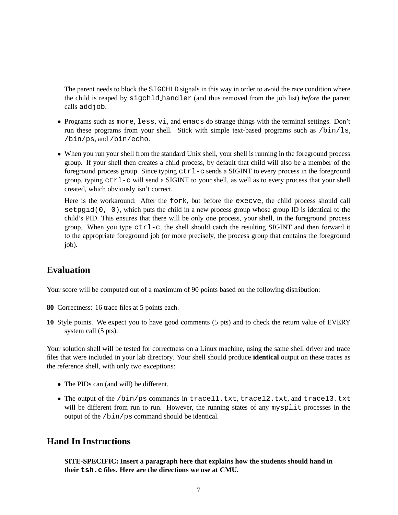The parent needs to block the SIGCHLD signals in this way in order to avoid the race condition where the child is reaped by sigchld handler (and thus removed from the job list) *before* the parent calls addjob.

- Programs such as more, less, vi, and emacs do strange things with the terminal settings. Don't run these programs from your shell. Stick with simple text-based programs such as  $/b\sin/1$ s, /bin/ps, and /bin/echo.
- When you run your shell from the standard Unix shell, your shell is running in the foreground process group. If your shell then creates a child process, by default that child will also be a member of the foreground process group. Since typing ctrl-c sends a SIGINT to every process in the foreground group, typing  $ctr1-c$  will send a SIGINT to your shell, as well as to every process that your shell created, which obviously isn't correct.

Here is the workaround: After the fork, but before the execve, the child process should call  $\text{setpid}(0, 0)$ , which puts the child in a new process group whose group ID is identical to the child's PID. This ensures that there will be only one process, your shell, in the foreground process group. When you type  $ctrl-c$ , the shell should catch the resulting SIGINT and then forward it to the appropriate foreground job (or more precisely, the process group that contains the foreground job).

### **Evaluation**

Your score will be computed out of a maximum of 90 points based on the following distribution:

- **80** Correctness: 16 trace files at 5 points each.
- **10** Style points. We expect you to have good comments (5 pts) and to check the return value of EVERY system call (5 pts).

Your solution shell will be tested for correctness on a Linux machine, using the same shell driver and trace files that were included in your lab directory. Your shell should produce **identical** output on these traces as the reference shell, with only two exceptions:

- The PIDs can (and will) be different.
- The output of the /bin/ps commands in trace11.txt, trace12.txt, and trace13.txt will be different from run to run. However, the running states of any mysplit processes in the output of the /bin/ps command should be identical.

## **Hand In Instructions**

**SITE-SPECIFIC: Insert a paragraph here that explains how the students should hand in their tsh.c files. Here are the directions we use at CMU.**